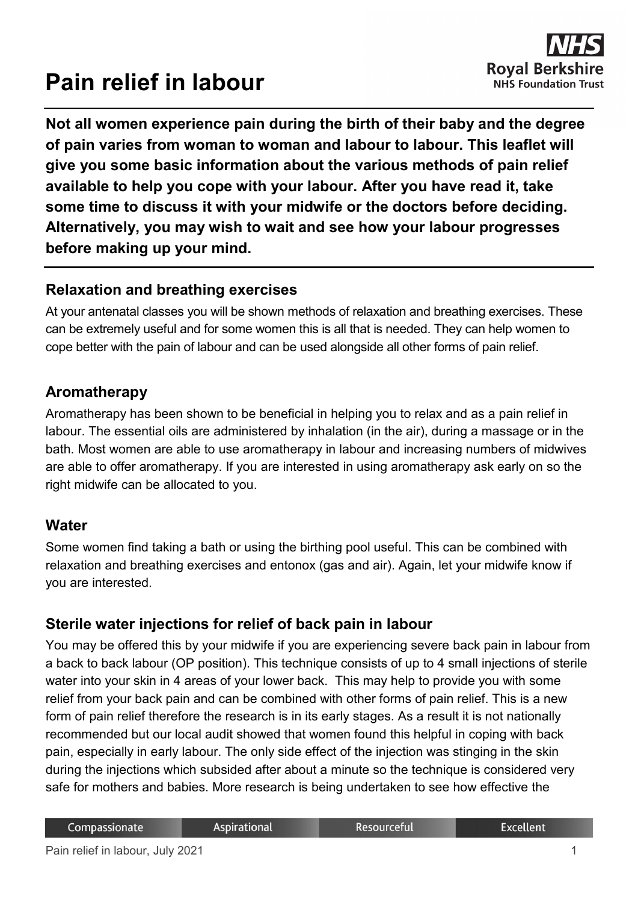# **Pain relief in labour**



**Not all women experience pain during the birth of their baby and the degree of pain varies from woman to woman and labour to labour. This leaflet will give you some basic information about the various methods of pain relief available to help you cope with your labour. After you have read it, take some time to discuss it with your midwife or the doctors before deciding. Alternatively, you may wish to wait and see how your labour progresses before making up your mind.**

#### **Relaxation and breathing exercises**

At your antenatal classes you will be shown methods of relaxation and breathing exercises. These can be extremely useful and for some women this is all that is needed. They can help women to cope better with the pain of labour and can be used alongside all other forms of pain relief.

#### **Aromatherapy**

Aromatherapy has been shown to be beneficial in helping you to relax and as a pain relief in labour. The essential oils are administered by inhalation (in the air), during a massage or in the bath. Most women are able to use aromatherapy in labour and increasing numbers of midwives are able to offer aromatherapy. If you are interested in using aromatherapy ask early on so the right midwife can be allocated to you.

#### **Water**

Some women find taking a bath or using the birthing pool useful. This can be combined with relaxation and breathing exercises and entonox (gas and air). Again, let your midwife know if you are interested.

# **Sterile water injections for relief of back pain in labour**

You may be offered this by your midwife if you are experiencing severe back pain in labour from a back to back labour (OP position). This technique consists of up to 4 small injections of sterile water into your skin in 4 areas of your lower back. This may help to provide you with some relief from your back pain and can be combined with other forms of pain relief. This is a new form of pain relief therefore the research is in its early stages. As a result it is not nationally recommended but our local audit showed that women found this helpful in coping with back pain, especially in early labour. The only side effect of the injection was stinging in the skin during the injections which subsided after about a minute so the technique is considered very safe for mothers and babies. More research is being undertaken to see how effective the

Resourceful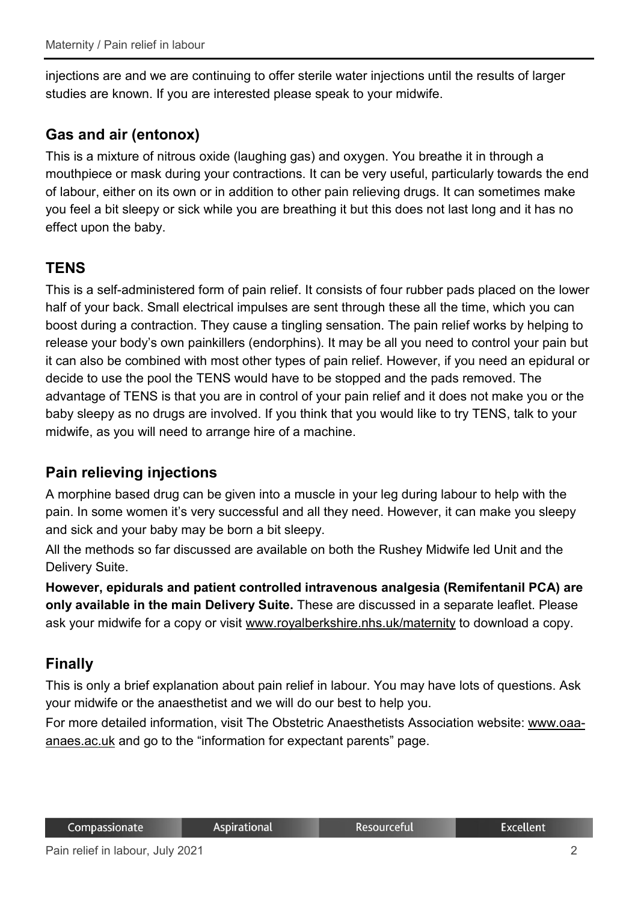injections are and we are continuing to offer sterile water injections until the results of larger studies are known. If you are interested please speak to your midwife.

# **Gas and air (entonox)**

This is a mixture of nitrous oxide (laughing gas) and oxygen. You breathe it in through a mouthpiece or mask during your contractions. It can be very useful, particularly towards the end of labour, either on its own or in addition to other pain relieving drugs. It can sometimes make you feel a bit sleepy or sick while you are breathing it but this does not last long and it has no effect upon the baby.

# **TENS**

This is a self-administered form of pain relief. It consists of four rubber pads placed on the lower half of your back. Small electrical impulses are sent through these all the time, which you can boost during a contraction. They cause a tingling sensation. The pain relief works by helping to release your body's own painkillers (endorphins). It may be all you need to control your pain but it can also be combined with most other types of pain relief. However, if you need an epidural or decide to use the pool the TENS would have to be stopped and the pads removed. The advantage of TENS is that you are in control of your pain relief and it does not make you or the baby sleepy as no drugs are involved. If you think that you would like to try TENS, talk to your midwife, as you will need to arrange hire of a machine.

# **Pain relieving injections**

A morphine based drug can be given into a muscle in your leg during labour to help with the pain. In some women it's very successful and all they need. However, it can make you sleepy and sick and your baby may be born a bit sleepy.

All the methods so far discussed are available on both the Rushey Midwife led Unit and the Delivery Suite.

**However, epidurals and patient controlled intravenous analgesia (Remifentanil PCA) are only available in the main Delivery Suite.** These are discussed in a separate leaflet. Please ask your midwife for a copy or visit [www.royalberkshire.nhs.uk/maternity](http://www.royalberkshire.nhs.uk/maternity) to download a copy.

# **Finally**

This is only a brief explanation about pain relief in labour. You may have lots of questions. Ask your midwife or the anaesthetist and we will do our best to help you.

For more detailed information, visit The Obstetric Anaesthetists Association website: [www.oaa](http://www.oaa-anaes.ac.uk/)[anaes.ac.uk](http://www.oaa-anaes.ac.uk/) and go to the "information for expectant parents" page.